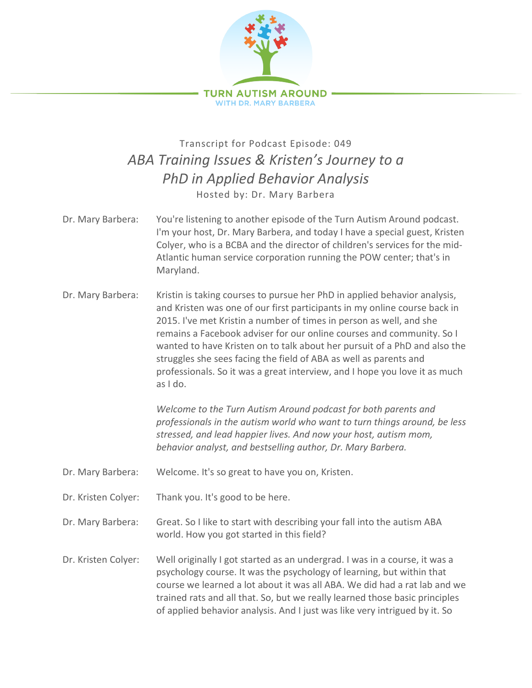

## Transcript for Podcast Episode: 049 *ABA Training Issues & Kristen's Journey to a PhD in Applied Behavior Analysis* Hosted by: Dr. Mary Barbera

- Dr. Mary Barbera: You're listening to another episode of the Turn Autism Around podcast. I'm your host, Dr. Mary Barbera, and today I have a special guest, Kristen Colyer, who is a BCBA and the director of children's services for the mid-Atlantic human service corporation running the POW center; that's in Maryland.
- Dr. Mary Barbera: Kristin is taking courses to pursue her PhD in applied behavior analysis, and Kristen was one of our first participants in my online course back in 2015. I've met Kristin a number of times in person as well, and she remains a Facebook adviser for our online courses and community. So I wanted to have Kristen on to talk about her pursuit of a PhD and also the struggles she sees facing the field of ABA as well as parents and professionals. So it was a great interview, and I hope you love it as much as I do.

*Welcome to the Turn Autism Around podcast for both parents and professionals in the autism world who want to turn things around, be less stressed, and lead happier lives. And now your host, autism mom, behavior analyst, and bestselling author, Dr. Mary Barbera.*

- Dr. Mary Barbera: Welcome. It's so great to have you on, Kristen.
- Dr. Kristen Colyer: Thank you. It's good to be here.

Dr. Mary Barbera: Great. So I like to start with describing your fall into the autism ABA world. How you got started in this field?

Dr. Kristen Colyer: Well originally I got started as an undergrad. I was in a course, it was a psychology course. It was the psychology of learning, but within that course we learned a lot about it was all ABA. We did had a rat lab and we trained rats and all that. So, but we really learned those basic principles of applied behavior analysis. And I just was like very intrigued by it. So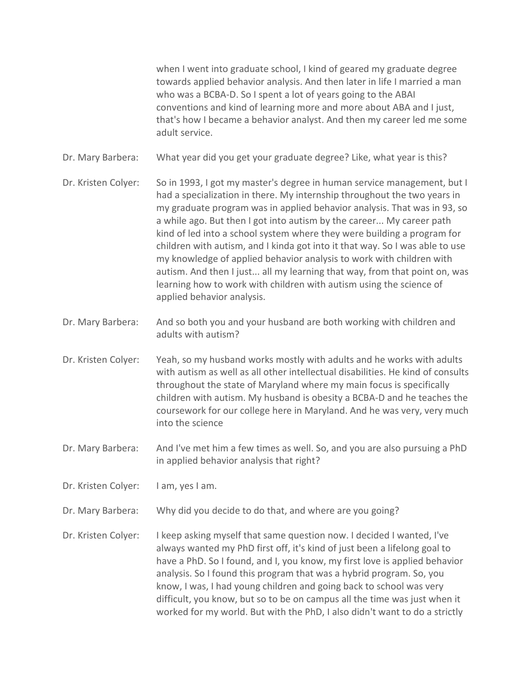when I went into graduate school, I kind of geared my graduate degree towards applied behavior analysis. And then later in life I married a man who was a BCBA-D. So I spent a lot of years going to the ABAI conventions and kind of learning more and more about ABA and I just, that's how I became a behavior analyst. And then my career led me some adult service.

Dr. Mary Barbera: What year did you get your graduate degree? Like, what year is this?

- Dr. Kristen Colyer: So in 1993, I got my master's degree in human service management, but I had a specialization in there. My internship throughout the two years in my graduate program was in applied behavior analysis. That was in 93, so a while ago. But then I got into autism by the career... My career path kind of led into a school system where they were building a program for children with autism, and I kinda got into it that way. So I was able to use my knowledge of applied behavior analysis to work with children with autism. And then I just... all my learning that way, from that point on, was learning how to work with children with autism using the science of applied behavior analysis.
- Dr. Mary Barbera: And so both you and your husband are both working with children and adults with autism?
- Dr. Kristen Colyer: Yeah, so my husband works mostly with adults and he works with adults with autism as well as all other intellectual disabilities. He kind of consults throughout the state of Maryland where my main focus is specifically children with autism. My husband is obesity a BCBA-D and he teaches the coursework for our college here in Maryland. And he was very, very much into the science
- Dr. Mary Barbera: And I've met him a few times as well. So, and you are also pursuing a PhD in applied behavior analysis that right?
- Dr. Kristen Colyer: I am, yes I am.
- Dr. Mary Barbera: Why did you decide to do that, and where are you going?
- Dr. Kristen Colyer: I keep asking myself that same question now. I decided I wanted, I've always wanted my PhD first off, it's kind of just been a lifelong goal to have a PhD. So I found, and I, you know, my first love is applied behavior analysis. So I found this program that was a hybrid program. So, you know, I was, I had young children and going back to school was very difficult, you know, but so to be on campus all the time was just when it worked for my world. But with the PhD, I also didn't want to do a strictly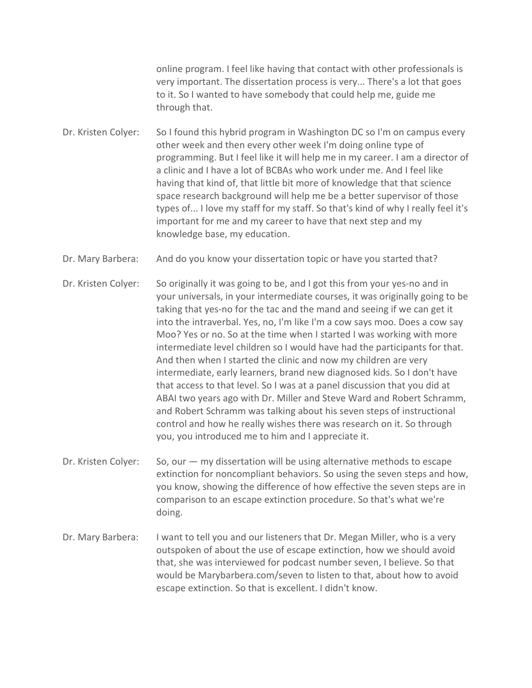online program. I feel like having that contact with other professionals is very important. The dissertation process is very... There's a lot that goes to it. So I wanted to have somebody that could help me, guide me through that.

Dr. Kristen Colyer: So I found this hybrid program in Washington DC so I'm on campus every other week and then every other week I'm doing online type of programming. But I feel like it will help me in my career. I am a director of a clinic and I have a lot of BCBAs who work under me. And I feel like having that kind of, that little bit more of knowledge that that science space research background will help me be a better supervisor of those types of... I love my staff for my staff. So that's kind of why I really feel it's important for me and my career to have that next step and my knowledge base, my education.

Dr. Mary Barbera: And do you know your dissertation topic or have you started that?

Dr. Kristen Colyer: So originally it was going to be, and I got this from your yes-no and in your universals, in your intermediate courses, it was originally going to be taking that yes-no for the tac and the mand and seeing if we can get it into the intraverbal. Yes, no, I'm like I'm a cow says moo. Does a cow say Moo? Yes or no. So at the time when I started I was working with more intermediate level children so I would have had the participants for that. And then when I started the clinic and now my children are very intermediate, early learners, brand new diagnosed kids. So I don't have that access to that level. So I was at a panel discussion that you did at ABAI two years ago with Dr. Miller and Steve Ward and Robert Schramm, and Robert Schramm was talking about his seven steps of instructional control and how he really wishes there was research on it. So through you, you introduced me to him and I appreciate it.

Dr. Kristen Colyer: So, our — my dissertation will be using alternative methods to escape extinction for noncompliant behaviors. So using the seven steps and how, you know, showing the difference of how effective the seven steps are in comparison to an escape extinction procedure. So that's what we're doing.

Dr. Mary Barbera: I want to tell you and our listeners that Dr. Megan Miller, who is a very outspoken of about the use of escape extinction, how we should avoid that, she was interviewed for podcast number seven, I believe. So that would be Marybarbera.com/seven to listen to that, about how to avoid escape extinction. So that is excellent. I didn't know.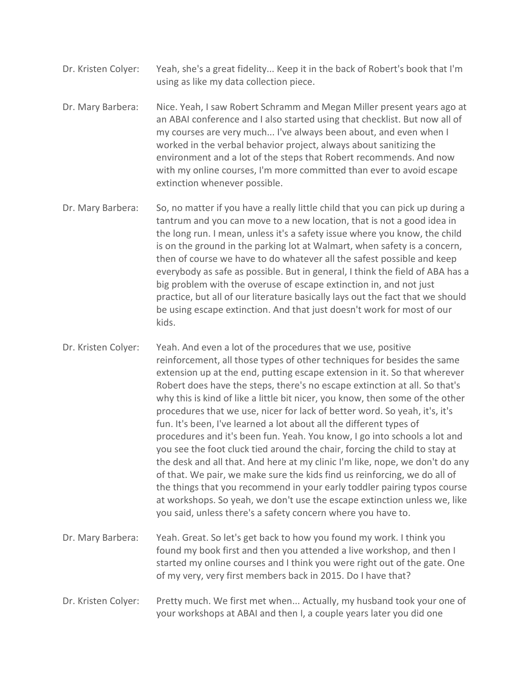- Dr. Kristen Colyer: Yeah, she's a great fidelity... Keep it in the back of Robert's book that I'm using as like my data collection piece.
- Dr. Mary Barbera: Nice. Yeah, I saw Robert Schramm and Megan Miller present years ago at an ABAI conference and I also started using that checklist. But now all of my courses are very much... I've always been about, and even when I worked in the verbal behavior project, always about sanitizing the environment and a lot of the steps that Robert recommends. And now with my online courses, I'm more committed than ever to avoid escape extinction whenever possible.
- Dr. Mary Barbera: So, no matter if you have a really little child that you can pick up during a tantrum and you can move to a new location, that is not a good idea in the long run. I mean, unless it's a safety issue where you know, the child is on the ground in the parking lot at Walmart, when safety is a concern, then of course we have to do whatever all the safest possible and keep everybody as safe as possible. But in general, I think the field of ABA has a big problem with the overuse of escape extinction in, and not just practice, but all of our literature basically lays out the fact that we should be using escape extinction. And that just doesn't work for most of our kids.

Dr. Kristen Colyer: Yeah. And even a lot of the procedures that we use, positive reinforcement, all those types of other techniques for besides the same extension up at the end, putting escape extension in it. So that wherever Robert does have the steps, there's no escape extinction at all. So that's why this is kind of like a little bit nicer, you know, then some of the other procedures that we use, nicer for lack of better word. So yeah, it's, it's fun. It's been, I've learned a lot about all the different types of procedures and it's been fun. Yeah. You know, I go into schools a lot and you see the foot cluck tied around the chair, forcing the child to stay at the desk and all that. And here at my clinic I'm like, nope, we don't do any of that. We pair, we make sure the kids find us reinforcing, we do all of the things that you recommend in your early toddler pairing typos course at workshops. So yeah, we don't use the escape extinction unless we, like you said, unless there's a safety concern where you have to.

- Dr. Mary Barbera: Yeah. Great. So let's get back to how you found my work. I think you found my book first and then you attended a live workshop, and then I started my online courses and I think you were right out of the gate. One of my very, very first members back in 2015. Do I have that?
- Dr. Kristen Colyer: Pretty much. We first met when... Actually, my husband took your one of your workshops at ABAI and then I, a couple years later you did one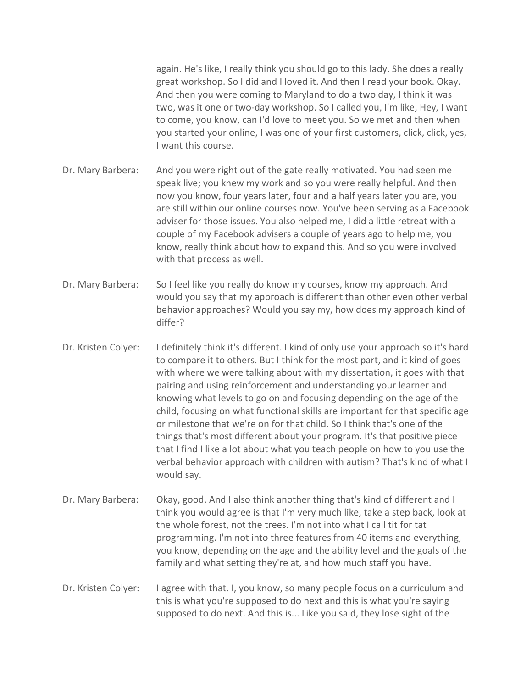again. He's like, I really think you should go to this lady. She does a really great workshop. So I did and I loved it. And then I read your book. Okay. And then you were coming to Maryland to do a two day, I think it was two, was it one or two-day workshop. So I called you, I'm like, Hey, I want to come, you know, can I'd love to meet you. So we met and then when you started your online, I was one of your first customers, click, click, yes, I want this course.

- Dr. Mary Barbera: And you were right out of the gate really motivated. You had seen me speak live; you knew my work and so you were really helpful. And then now you know, four years later, four and a half years later you are, you are still within our online courses now. You've been serving as a Facebook adviser for those issues. You also helped me, I did a little retreat with a couple of my Facebook advisers a couple of years ago to help me, you know, really think about how to expand this. And so you were involved with that process as well.
- Dr. Mary Barbera: So I feel like you really do know my courses, know my approach. And would you say that my approach is different than other even other verbal behavior approaches? Would you say my, how does my approach kind of differ?
- Dr. Kristen Colyer: I definitely think it's different. I kind of only use your approach so it's hard to compare it to others. But I think for the most part, and it kind of goes with where we were talking about with my dissertation, it goes with that pairing and using reinforcement and understanding your learner and knowing what levels to go on and focusing depending on the age of the child, focusing on what functional skills are important for that specific age or milestone that we're on for that child. So I think that's one of the things that's most different about your program. It's that positive piece that I find I like a lot about what you teach people on how to you use the verbal behavior approach with children with autism? That's kind of what I would say.
- Dr. Mary Barbera: Okay, good. And I also think another thing that's kind of different and I think you would agree is that I'm very much like, take a step back, look at the whole forest, not the trees. I'm not into what I call tit for tat programming. I'm not into three features from 40 items and everything, you know, depending on the age and the ability level and the goals of the family and what setting they're at, and how much staff you have.
- Dr. Kristen Colyer: I agree with that. I, you know, so many people focus on a curriculum and this is what you're supposed to do next and this is what you're saying supposed to do next. And this is... Like you said, they lose sight of the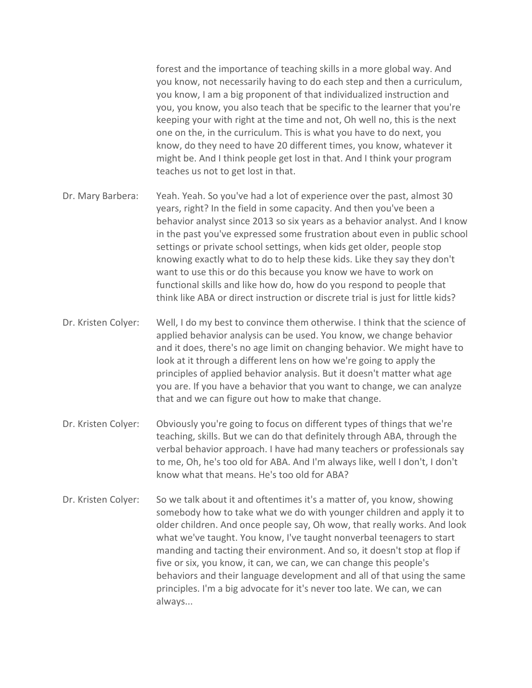forest and the importance of teaching skills in a more global way. And you know, not necessarily having to do each step and then a curriculum, you know, I am a big proponent of that individualized instruction and you, you know, you also teach that be specific to the learner that you're keeping your with right at the time and not, Oh well no, this is the next one on the, in the curriculum. This is what you have to do next, you know, do they need to have 20 different times, you know, whatever it might be. And I think people get lost in that. And I think your program teaches us not to get lost in that.

- Dr. Mary Barbera: Yeah. Yeah. So you've had a lot of experience over the past, almost 30 years, right? In the field in some capacity. And then you've been a behavior analyst since 2013 so six years as a behavior analyst. And I know in the past you've expressed some frustration about even in public school settings or private school settings, when kids get older, people stop knowing exactly what to do to help these kids. Like they say they don't want to use this or do this because you know we have to work on functional skills and like how do, how do you respond to people that think like ABA or direct instruction or discrete trial is just for little kids?
- Dr. Kristen Colyer: Well, I do my best to convince them otherwise. I think that the science of applied behavior analysis can be used. You know, we change behavior and it does, there's no age limit on changing behavior. We might have to look at it through a different lens on how we're going to apply the principles of applied behavior analysis. But it doesn't matter what age you are. If you have a behavior that you want to change, we can analyze that and we can figure out how to make that change.
- Dr. Kristen Colyer: Obviously you're going to focus on different types of things that we're teaching, skills. But we can do that definitely through ABA, through the verbal behavior approach. I have had many teachers or professionals say to me, Oh, he's too old for ABA. And I'm always like, well I don't, I don't know what that means. He's too old for ABA?
- Dr. Kristen Colyer: So we talk about it and oftentimes it's a matter of, you know, showing somebody how to take what we do with younger children and apply it to older children. And once people say, Oh wow, that really works. And look what we've taught. You know, I've taught nonverbal teenagers to start manding and tacting their environment. And so, it doesn't stop at flop if five or six, you know, it can, we can, we can change this people's behaviors and their language development and all of that using the same principles. I'm a big advocate for it's never too late. We can, we can always...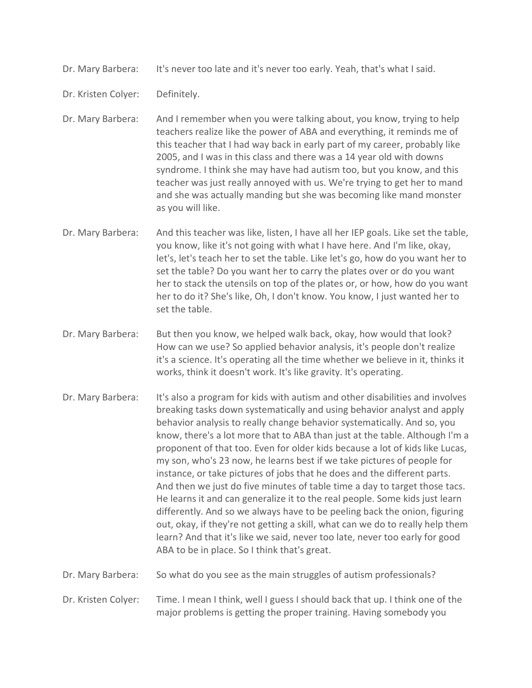Dr. Mary Barbera: It's never too late and it's never too early. Yeah, that's what I said.

Dr. Kristen Colyer: Definitely.

Dr. Mary Barbera: And I remember when you were talking about, you know, trying to help teachers realize like the power of ABA and everything, it reminds me of this teacher that I had way back in early part of my career, probably like 2005, and I was in this class and there was a 14 year old with downs syndrome. I think she may have had autism too, but you know, and this teacher was just really annoyed with us. We're trying to get her to mand and she was actually manding but she was becoming like mand monster as you will like.

- Dr. Mary Barbera: And this teacher was like, listen, I have all her IEP goals. Like set the table, you know, like it's not going with what I have here. And I'm like, okay, let's, let's teach her to set the table. Like let's go, how do you want her to set the table? Do you want her to carry the plates over or do you want her to stack the utensils on top of the plates or, or how, how do you want her to do it? She's like, Oh, I don't know. You know, I just wanted her to set the table.
- Dr. Mary Barbera: But then you know, we helped walk back, okay, how would that look? How can we use? So applied behavior analysis, it's people don't realize it's a science. It's operating all the time whether we believe in it, thinks it works, think it doesn't work. It's like gravity. It's operating.
- Dr. Mary Barbera: It's also a program for kids with autism and other disabilities and involves breaking tasks down systematically and using behavior analyst and apply behavior analysis to really change behavior systematically. And so, you know, there's a lot more that to ABA than just at the table. Although I'm a proponent of that too. Even for older kids because a lot of kids like Lucas, my son, who's 23 now, he learns best if we take pictures of people for instance, or take pictures of jobs that he does and the different parts. And then we just do five minutes of table time a day to target those tacs. He learns it and can generalize it to the real people. Some kids just learn differently. And so we always have to be peeling back the onion, figuring out, okay, if they're not getting a skill, what can we do to really help them learn? And that it's like we said, never too late, never too early for good ABA to be in place. So I think that's great.
- Dr. Mary Barbera: So what do you see as the main struggles of autism professionals?

Dr. Kristen Colyer: Time. I mean I think, well I guess I should back that up. I think one of the major problems is getting the proper training. Having somebody you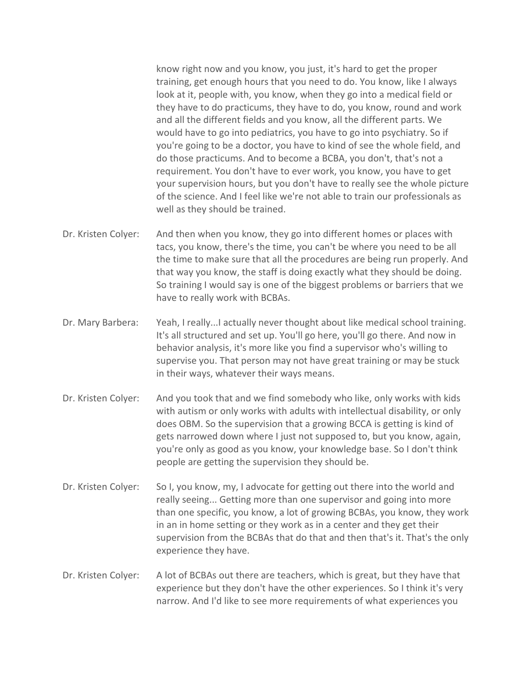know right now and you know, you just, it's hard to get the proper training, get enough hours that you need to do. You know, like I always look at it, people with, you know, when they go into a medical field or they have to do practicums, they have to do, you know, round and work and all the different fields and you know, all the different parts. We would have to go into pediatrics, you have to go into psychiatry. So if you're going to be a doctor, you have to kind of see the whole field, and do those practicums. And to become a BCBA, you don't, that's not a requirement. You don't have to ever work, you know, you have to get your supervision hours, but you don't have to really see the whole picture of the science. And I feel like we're not able to train our professionals as well as they should be trained.

- Dr. Kristen Colyer: And then when you know, they go into different homes or places with tacs, you know, there's the time, you can't be where you need to be all the time to make sure that all the procedures are being run properly. And that way you know, the staff is doing exactly what they should be doing. So training I would say is one of the biggest problems or barriers that we have to really work with BCBAs.
- Dr. Mary Barbera: Yeah, I really...I actually never thought about like medical school training. It's all structured and set up. You'll go here, you'll go there. And now in behavior analysis, it's more like you find a supervisor who's willing to supervise you. That person may not have great training or may be stuck in their ways, whatever their ways means.
- Dr. Kristen Colyer: And you took that and we find somebody who like, only works with kids with autism or only works with adults with intellectual disability, or only does OBM. So the supervision that a growing BCCA is getting is kind of gets narrowed down where I just not supposed to, but you know, again, you're only as good as you know, your knowledge base. So I don't think people are getting the supervision they should be.
- Dr. Kristen Colyer: So I, you know, my, I advocate for getting out there into the world and really seeing... Getting more than one supervisor and going into more than one specific, you know, a lot of growing BCBAs, you know, they work in an in home setting or they work as in a center and they get their supervision from the BCBAs that do that and then that's it. That's the only experience they have.
- Dr. Kristen Colyer: A lot of BCBAs out there are teachers, which is great, but they have that experience but they don't have the other experiences. So I think it's very narrow. And I'd like to see more requirements of what experiences you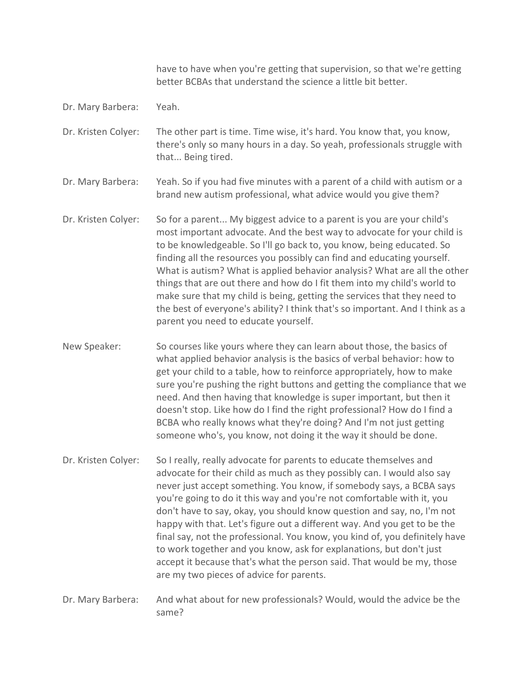have to have when you're getting that supervision, so that we're getting better BCBAs that understand the science a little bit better.

Dr. Mary Barbera: Yeah.

Dr. Kristen Colyer: The other part is time. Time wise, it's hard. You know that, you know, there's only so many hours in a day. So yeah, professionals struggle with that... Being tired.

Dr. Mary Barbera: Yeah. So if you had five minutes with a parent of a child with autism or a brand new autism professional, what advice would you give them?

- Dr. Kristen Colyer: So for a parent... My biggest advice to a parent is you are your child's most important advocate. And the best way to advocate for your child is to be knowledgeable. So I'll go back to, you know, being educated. So finding all the resources you possibly can find and educating yourself. What is autism? What is applied behavior analysis? What are all the other things that are out there and how do I fit them into my child's world to make sure that my child is being, getting the services that they need to the best of everyone's ability? I think that's so important. And I think as a parent you need to educate yourself.
- New Speaker: So courses like yours where they can learn about those, the basics of what applied behavior analysis is the basics of verbal behavior: how to get your child to a table, how to reinforce appropriately, how to make sure you're pushing the right buttons and getting the compliance that we need. And then having that knowledge is super important, but then it doesn't stop. Like how do I find the right professional? How do I find a BCBA who really knows what they're doing? And I'm not just getting someone who's, you know, not doing it the way it should be done.
- Dr. Kristen Colyer: So I really, really advocate for parents to educate themselves and advocate for their child as much as they possibly can. I would also say never just accept something. You know, if somebody says, a BCBA says you're going to do it this way and you're not comfortable with it, you don't have to say, okay, you should know question and say, no, I'm not happy with that. Let's figure out a different way. And you get to be the final say, not the professional. You know, you kind of, you definitely have to work together and you know, ask for explanations, but don't just accept it because that's what the person said. That would be my, those are my two pieces of advice for parents.
- Dr. Mary Barbera: And what about for new professionals? Would, would the advice be the same?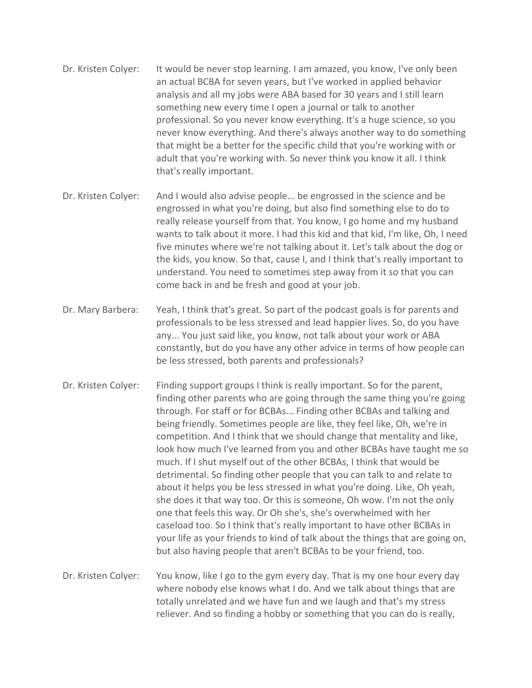- Dr. Kristen Colyer: It would be never stop learning. I am amazed, you know, I've only been an actual BCBA for seven years, but I've worked in applied behavior analysis and all my jobs were ABA based for 30 years and I still learn something new every time I open a journal or talk to another professional. So you never know everything. It's a huge science, so you never know everything. And there's always another way to do something that might be a better for the specific child that you're working with or adult that you're working with. So never think you know it all. I think that's really important.
- Dr. Kristen Colyer: And I would also advise people... be engrossed in the science and be engrossed in what you're doing, but also find something else to do to really release yourself from that. You know, I go home and my husband wants to talk about it more. I had this kid and that kid, I'm like, Oh, I need five minutes where we're not talking about it. Let's talk about the dog or the kids, you know. So that, cause I, and I think that's really important to understand. You need to sometimes step away from it so that you can come back in and be fresh and good at your job.
- Dr. Mary Barbera: Yeah, I think that's great. So part of the podcast goals is for parents and professionals to be less stressed and lead happier lives. So, do you have any... You just said like, you know, not talk about your work or ABA constantly, but do you have any other advice in terms of how people can be less stressed, both parents and professionals?
- Dr. Kristen Colyer: Finding support groups I think is really important. So for the parent, finding other parents who are going through the same thing you're going through. For staff or for BCBAs... Finding other BCBAs and talking and being friendly. Sometimes people are like, they feel like, Oh, we're in competition. And I think that we should change that mentality and like, look how much I've learned from you and other BCBAs have taught me so much. If I shut myself out of the other BCBAs, I think that would be detrimental. So finding other people that you can talk to and relate to about it helps you be less stressed in what you're doing. Like, Oh yeah, she does it that way too. Or this is someone, Oh wow. I'm not the only one that feels this way. Or Oh she's, she's overwhelmed with her caseload too. So I think that's really important to have other BCBAs in your life as your friends to kind of talk about the things that are going on, but also having people that aren't BCBAs to be your friend, too.
- Dr. Kristen Colyer: You know, like I go to the gym every day. That is my one hour every day where nobody else knows what I do. And we talk about things that are totally unrelated and we have fun and we laugh and that's my stress reliever. And so finding a hobby or something that you can do is really,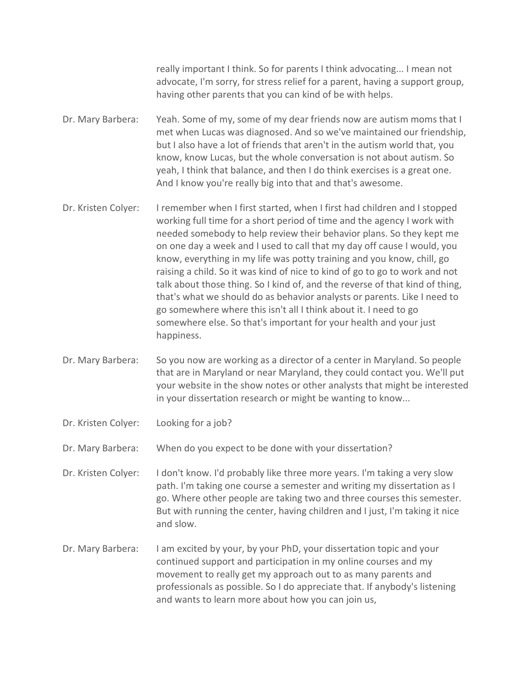really important I think. So for parents I think advocating... I mean not advocate, I'm sorry, for stress relief for a parent, having a support group, having other parents that you can kind of be with helps.

- Dr. Mary Barbera: Yeah. Some of my, some of my dear friends now are autism moms that I met when Lucas was diagnosed. And so we've maintained our friendship, but I also have a lot of friends that aren't in the autism world that, you know, know Lucas, but the whole conversation is not about autism. So yeah, I think that balance, and then I do think exercises is a great one. And I know you're really big into that and that's awesome.
- Dr. Kristen Colyer: I remember when I first started, when I first had children and I stopped working full time for a short period of time and the agency I work with needed somebody to help review their behavior plans. So they kept me on one day a week and I used to call that my day off cause I would, you know, everything in my life was potty training and you know, chill, go raising a child. So it was kind of nice to kind of go to go to work and not talk about those thing. So I kind of, and the reverse of that kind of thing, that's what we should do as behavior analysts or parents. Like I need to go somewhere where this isn't all I think about it. I need to go somewhere else. So that's important for your health and your just happiness.
- Dr. Mary Barbera: So you now are working as a director of a center in Maryland. So people that are in Maryland or near Maryland, they could contact you. We'll put your website in the show notes or other analysts that might be interested in your dissertation research or might be wanting to know...
- Dr. Kristen Colyer: Looking for a job?

Dr. Mary Barbera: When do you expect to be done with your dissertation?

Dr. Kristen Colyer: I don't know. I'd probably like three more years. I'm taking a very slow path. I'm taking one course a semester and writing my dissertation as I go. Where other people are taking two and three courses this semester. But with running the center, having children and I just, I'm taking it nice and slow.

Dr. Mary Barbera: I am excited by your, by your PhD, your dissertation topic and your continued support and participation in my online courses and my movement to really get my approach out to as many parents and professionals as possible. So I do appreciate that. If anybody's listening and wants to learn more about how you can join us,